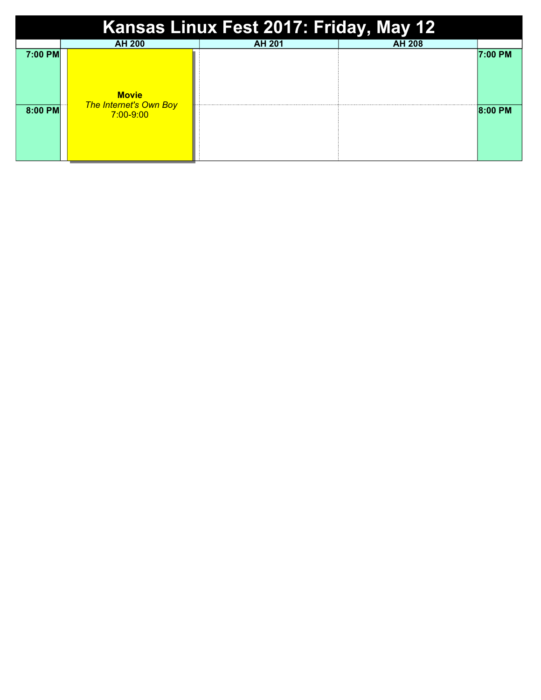| Kansas Linux Fest 2017: Friday, May 12 |                                                                |               |               |         |  |  |  |  |
|----------------------------------------|----------------------------------------------------------------|---------------|---------------|---------|--|--|--|--|
|                                        | <b>AH 200</b>                                                  | <b>AH 201</b> | <b>AH 208</b> |         |  |  |  |  |
| 7:00 PM                                | <b>Movie</b><br><b>The Internet's Own Boy</b><br>$7:00 - 9:00$ |               |               | 7:00 PM |  |  |  |  |
| 8:00 PM                                |                                                                |               |               | 8:00 PM |  |  |  |  |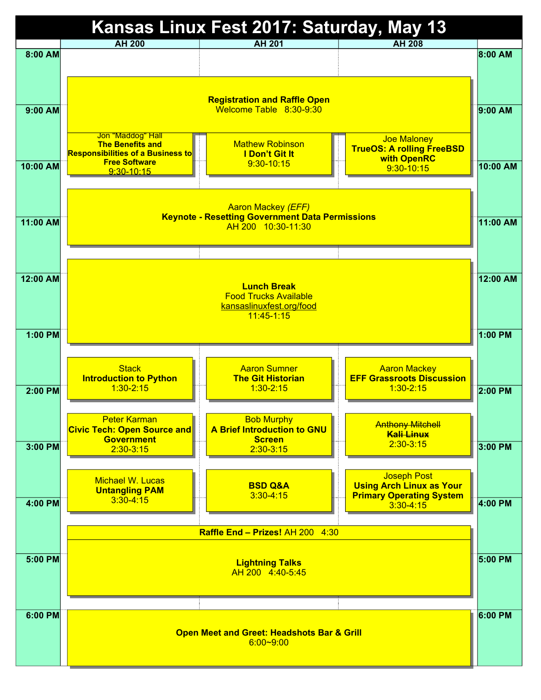